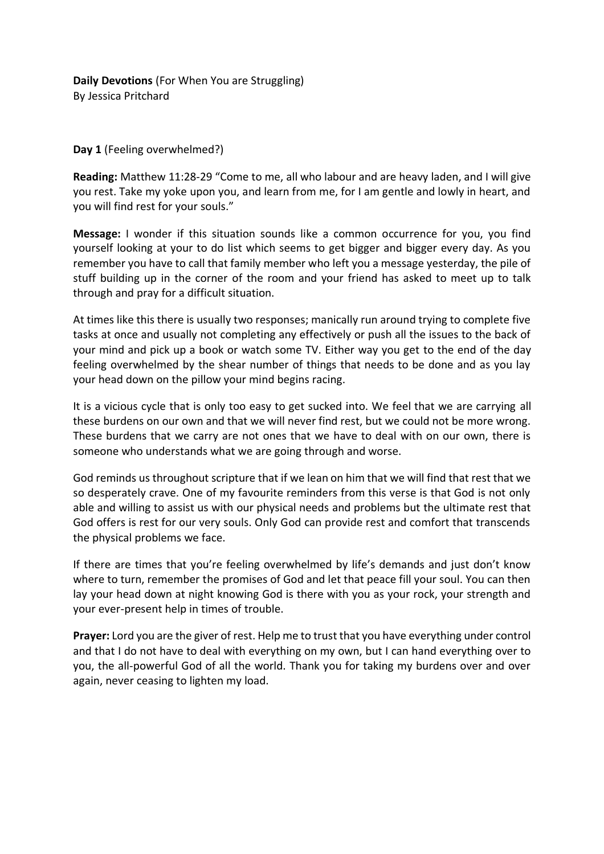## **Day 1** (Feeling overwhelmed?)

**Reading:** Matthew 11:28-29 "Come to me, all who labour and are heavy laden, and I will give you rest. Take my yoke upon you, and learn from me, for I am gentle and lowly in heart, and you will find rest for your souls."

**Message:** I wonder if this situation sounds like a common occurrence for you, you find yourself looking at your to do list which seems to get bigger and bigger every day. As you remember you have to call that family member who left you a message yesterday, the pile of stuff building up in the corner of the room and your friend has asked to meet up to talk through and pray for a difficult situation.

At times like this there is usually two responses; manically run around trying to complete five tasks at once and usually not completing any effectively or push all the issues to the back of your mind and pick up a book or watch some TV. Either way you get to the end of the day feeling overwhelmed by the shear number of things that needs to be done and as you lay your head down on the pillow your mind begins racing.

It is a vicious cycle that is only too easy to get sucked into. We feel that we are carrying all these burdens on our own and that we will never find rest, but we could not be more wrong. These burdens that we carry are not ones that we have to deal with on our own, there is someone who understands what we are going through and worse.

God reminds us throughout scripture that if we lean on him that we will find that rest that we so desperately crave. One of my favourite reminders from this verse is that God is not only able and willing to assist us with our physical needs and problems but the ultimate rest that God offers is rest for our very souls. Only God can provide rest and comfort that transcends the physical problems we face.

If there are times that you're feeling overwhelmed by life's demands and just don't know where to turn, remember the promises of God and let that peace fill your soul. You can then lay your head down at night knowing God is there with you as your rock, your strength and your ever-present help in times of trouble.

**Prayer:** Lord you are the giver of rest. Help me to trust that you have everything under control and that I do not have to deal with everything on my own, but I can hand everything over to you, the all-powerful God of all the world. Thank you for taking my burdens over and over again, never ceasing to lighten my load.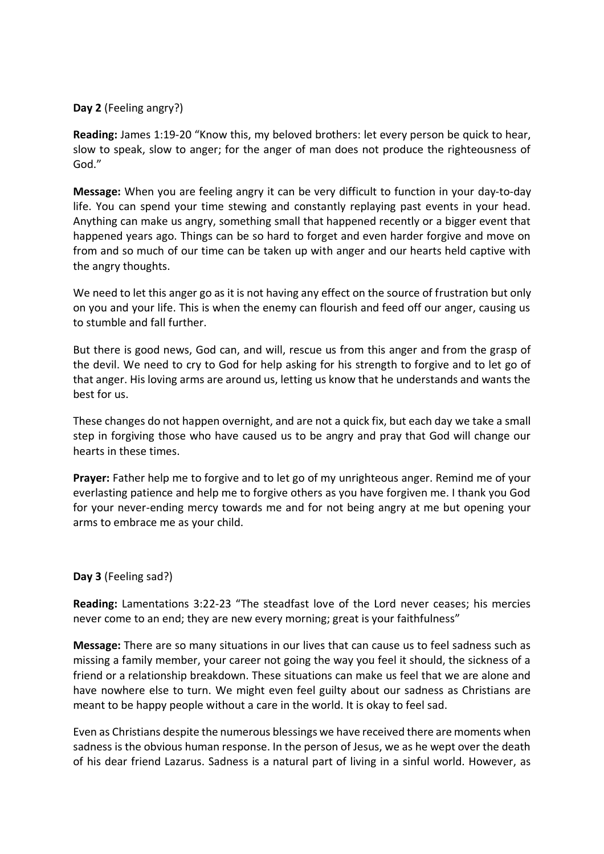#### **Day 2** (Feeling angry?)

**Reading:** James 1:19-20 "Know this, my beloved brothers: let every person be quick to hear, slow to speak, slow to anger; for the anger of man does not produce the righteousness of God."

**Message:** When you are feeling angry it can be very difficult to function in your day-to-day life. You can spend your time stewing and constantly replaying past events in your head. Anything can make us angry, something small that happened recently or a bigger event that happened years ago. Things can be so hard to forget and even harder forgive and move on from and so much of our time can be taken up with anger and our hearts held captive with the angry thoughts.

We need to let this anger go as it is not having any effect on the source of frustration but only on you and your life. This is when the enemy can flourish and feed off our anger, causing us to stumble and fall further.

But there is good news, God can, and will, rescue us from this anger and from the grasp of the devil. We need to cry to God for help asking for his strength to forgive and to let go of that anger. His loving arms are around us, letting us know that he understands and wants the best for us.

These changes do not happen overnight, and are not a quick fix, but each day we take a small step in forgiving those who have caused us to be angry and pray that God will change our hearts in these times.

**Prayer:** Father help me to forgive and to let go of my unrighteous anger. Remind me of your everlasting patience and help me to forgive others as you have forgiven me. I thank you God for your never-ending mercy towards me and for not being angry at me but opening your arms to embrace me as your child.

#### **Day 3** (Feeling sad?)

**Reading:** Lamentations 3:22-23 "The steadfast love of the Lord never ceases; his mercies never come to an end; they are new every morning; great is your faithfulness"

**Message:** There are so many situations in our lives that can cause us to feel sadness such as missing a family member, your career not going the way you feel it should, the sickness of a friend or a relationship breakdown. These situations can make us feel that we are alone and have nowhere else to turn. We might even feel guilty about our sadness as Christians are meant to be happy people without a care in the world. It is okay to feel sad.

Even as Christians despite the numerous blessings we have received there are moments when sadness is the obvious human response. In the person of Jesus, we as he wept over the death of his dear friend Lazarus. Sadness is a natural part of living in a sinful world. However, as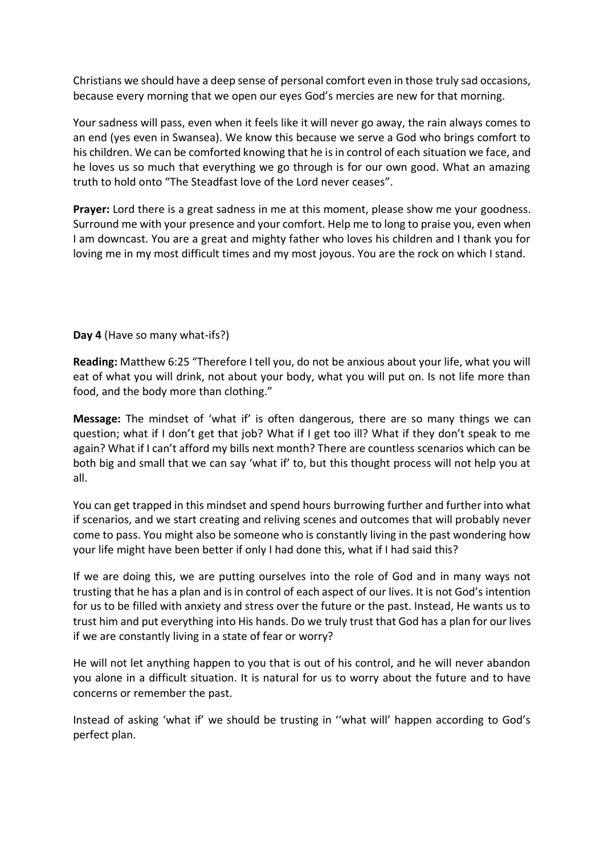Christians we should have a deep sense of personal comfort even in those truly sad occasions, because every morning that we open our eyes God's mercies are new for that morning.

Your sadness will pass, even when it feels like it will never go away, the rain always comes to an end (yes even in Swansea). We know this because we serve a God who brings comfort to his children. We can be comforted knowing that he is in control of each situation we face, and he loves us so much that everything we go through is for our own good. What an amazing truth to hold onto "The Steadfast love of the Lord never ceases".

**Prayer:** Lord there is a great sadness in me at this moment, please show me your goodness. Surround me with your presence and your comfort. Help me to long to praise you, even when I am downcast. You are a great and mighty father who loves his children and I thank you for loving me in my most difficult times and my most joyous. You are the rock on which I stand.

**Day 4** (Have so many what-ifs?)

**Reading:** Matthew 6:25 "Therefore I tell you, do not be anxious about your life, what you will eat of what you will drink, not about your body, what you will put on. Is not life more than food, and the body more than clothing."

**Message:** The mindset of 'what if' is often dangerous, there are so many things we can question; what if I don't get that job? What if I get too ill? What if they don't speak to me again? What if I can't afford my bills next month? There are countless scenarios which can be both big and small that we can say 'what if' to, but this thought process will not help you at all.

You can get trapped in this mindset and spend hours burrowing further and further into what if scenarios, and we start creating and reliving scenes and outcomes that will probably never come to pass. You might also be someone who is constantly living in the past wondering how your life might have been better if only I had done this, what if I had said this?

If we are doing this, we are putting ourselves into the role of God and in many ways not trusting that he has a plan and is in control of each aspect of our lives. It is not God's intention for us to be filled with anxiety and stress over the future or the past. Instead, He wants us to trust him and put everything into His hands. Do we truly trust that God has a plan for our lives if we are constantly living in a state of fear or worry?

He will not let anything happen to you that is out of his control, and he will never abandon you alone in a difficult situation. It is natural for us to worry about the future and to have concerns or remember the past.

Instead of asking 'what if' we should be trusting in ''what will' happen according to God's perfect plan.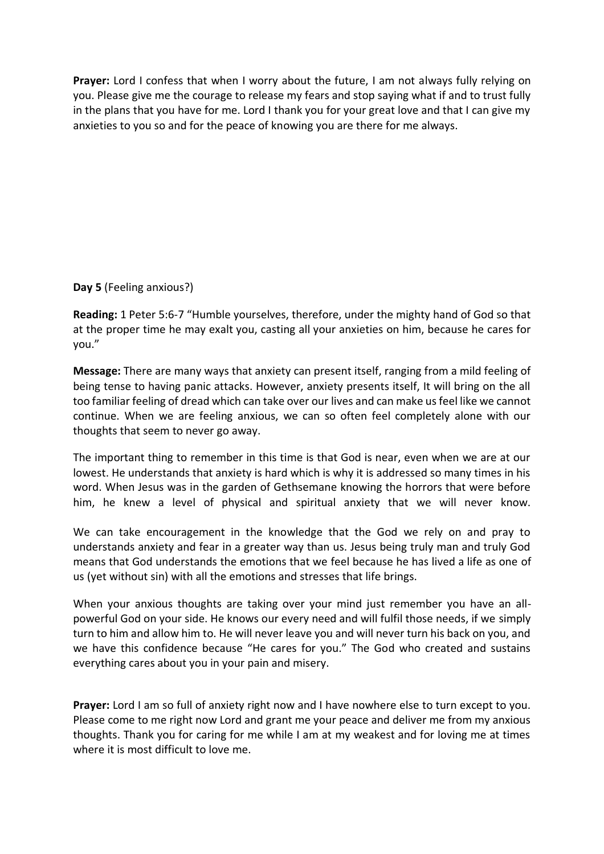**Prayer:** Lord I confess that when I worry about the future, I am not always fully relying on you. Please give me the courage to release my fears and stop saying what if and to trust fully in the plans that you have for me. Lord I thank you for your great love and that I can give my anxieties to you so and for the peace of knowing you are there for me always.

**Day 5** (Feeling anxious?)

**Reading:** 1 Peter 5:6-7 "Humble yourselves, therefore, under the mighty hand of God so that at the proper time he may exalt you, casting all your anxieties on him, because he cares for you."

**Message:** There are many ways that anxiety can present itself, ranging from a mild feeling of being tense to having panic attacks. However, anxiety presents itself, It will bring on the all too familiar feeling of dread which can take over our lives and can make us feel like we cannot continue. When we are feeling anxious, we can so often feel completely alone with our thoughts that seem to never go away.

The important thing to remember in this time is that God is near, even when we are at our lowest. He understands that anxiety is hard which is why it is addressed so many times in his word. When Jesus was in the garden of Gethsemane knowing the horrors that were before him, he knew a level of physical and spiritual anxiety that we will never know.

We can take encouragement in the knowledge that the God we rely on and pray to understands anxiety and fear in a greater way than us. Jesus being truly man and truly God means that God understands the emotions that we feel because he has lived a life as one of us (yet without sin) with all the emotions and stresses that life brings.

When your anxious thoughts are taking over your mind just remember you have an allpowerful God on your side. He knows our every need and will fulfil those needs, if we simply turn to him and allow him to. He will never leave you and will never turn his back on you, and we have this confidence because "He cares for you." The God who created and sustains everything cares about you in your pain and misery.

**Prayer:** Lord I am so full of anxiety right now and I have nowhere else to turn except to you. Please come to me right now Lord and grant me your peace and deliver me from my anxious thoughts. Thank you for caring for me while I am at my weakest and for loving me at times where it is most difficult to love me.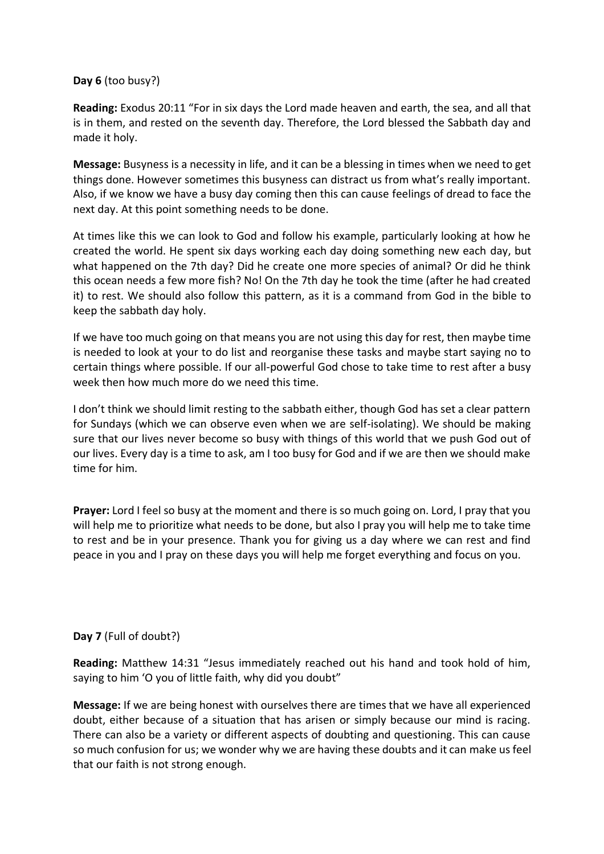## **Day 6** (too busy?)

**Reading:** Exodus 20:11 "For in six days the Lord made heaven and earth, the sea, and all that is in them, and rested on the seventh day. Therefore, the Lord blessed the Sabbath day and made it holy.

**Message:** Busyness is a necessity in life, and it can be a blessing in times when we need to get things done. However sometimes this busyness can distract us from what's really important. Also, if we know we have a busy day coming then this can cause feelings of dread to face the next day. At this point something needs to be done.

At times like this we can look to God and follow his example, particularly looking at how he created the world. He spent six days working each day doing something new each day, but what happened on the 7th day? Did he create one more species of animal? Or did he think this ocean needs a few more fish? No! On the 7th day he took the time (after he had created it) to rest. We should also follow this pattern, as it is a command from God in the bible to keep the sabbath day holy.

If we have too much going on that means you are not using this day for rest, then maybe time is needed to look at your to do list and reorganise these tasks and maybe start saying no to certain things where possible. If our all-powerful God chose to take time to rest after a busy week then how much more do we need this time.

I don't think we should limit resting to the sabbath either, though God has set a clear pattern for Sundays (which we can observe even when we are self-isolating). We should be making sure that our lives never become so busy with things of this world that we push God out of our lives. Every day is a time to ask, am I too busy for God and if we are then we should make time for him.

**Prayer:** Lord I feel so busy at the moment and there is so much going on. Lord, I pray that you will help me to prioritize what needs to be done, but also I pray you will help me to take time to rest and be in your presence. Thank you for giving us a day where we can rest and find peace in you and I pray on these days you will help me forget everything and focus on you.

# **Day 7** (Full of doubt?)

**Reading:** Matthew 14:31 "Jesus immediately reached out his hand and took hold of him, saying to him 'O you of little faith, why did you doubt"

**Message:** If we are being honest with ourselves there are times that we have all experienced doubt, either because of a situation that has arisen or simply because our mind is racing. There can also be a variety or different aspects of doubting and questioning. This can cause so much confusion for us; we wonder why we are having these doubts and it can make us feel that our faith is not strong enough.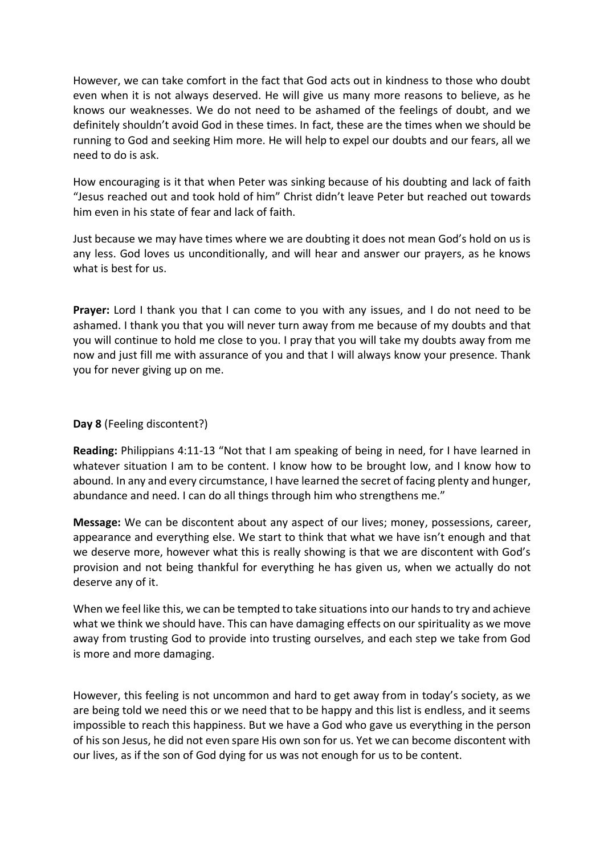However, we can take comfort in the fact that God acts out in kindness to those who doubt even when it is not always deserved. He will give us many more reasons to believe, as he knows our weaknesses. We do not need to be ashamed of the feelings of doubt, and we definitely shouldn't avoid God in these times. In fact, these are the times when we should be running to God and seeking Him more. He will help to expel our doubts and our fears, all we need to do is ask.

How encouraging is it that when Peter was sinking because of his doubting and lack of faith "Jesus reached out and took hold of him" Christ didn't leave Peter but reached out towards him even in his state of fear and lack of faith.

Just because we may have times where we are doubting it does not mean God's hold on us is any less. God loves us unconditionally, and will hear and answer our prayers, as he knows what is best for us.

**Prayer:** Lord I thank you that I can come to you with any issues, and I do not need to be ashamed. I thank you that you will never turn away from me because of my doubts and that you will continue to hold me close to you. I pray that you will take my doubts away from me now and just fill me with assurance of you and that I will always know your presence. Thank you for never giving up on me.

#### **Day 8** (Feeling discontent?)

**Reading:** Philippians 4:11-13 "Not that I am speaking of being in need, for I have learned in whatever situation I am to be content. I know how to be brought low, and I know how to abound. In any and every circumstance, I have learned the secret of facing plenty and hunger, abundance and need. I can do all things through him who strengthens me."

**Message:** We can be discontent about any aspect of our lives; money, possessions, career, appearance and everything else. We start to think that what we have isn't enough and that we deserve more, however what this is really showing is that we are discontent with God's provision and not being thankful for everything he has given us, when we actually do not deserve any of it.

When we feel like this, we can be tempted to take situations into our hands to try and achieve what we think we should have. This can have damaging effects on our spirituality as we move away from trusting God to provide into trusting ourselves, and each step we take from God is more and more damaging.

However, this feeling is not uncommon and hard to get away from in today's society, as we are being told we need this or we need that to be happy and this list is endless, and it seems impossible to reach this happiness. But we have a God who gave us everything in the person of his son Jesus, he did not even spare His own son for us. Yet we can become discontent with our lives, as if the son of God dying for us was not enough for us to be content.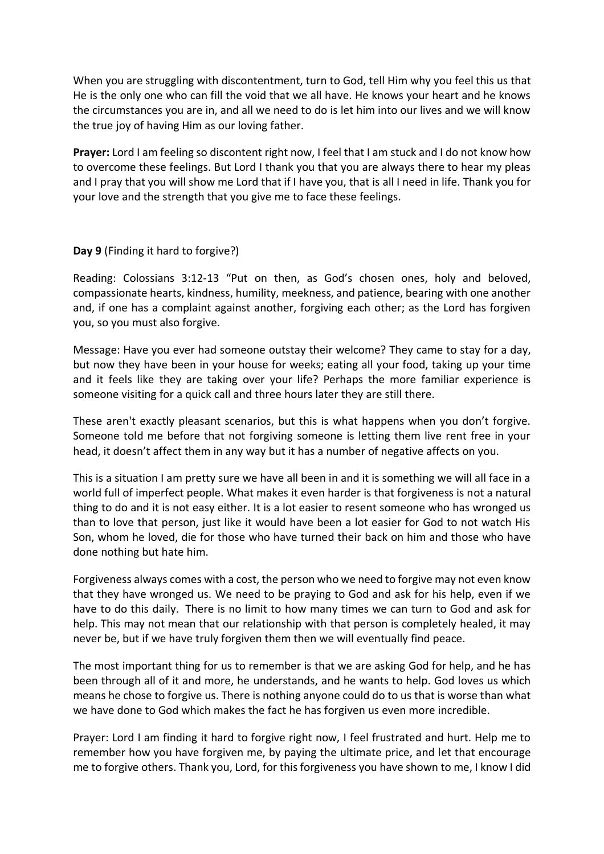When you are struggling with discontentment, turn to God, tell Him why you feel this us that He is the only one who can fill the void that we all have. He knows your heart and he knows the circumstances you are in, and all we need to do is let him into our lives and we will know the true joy of having Him as our loving father.

**Prayer:** Lord I am feeling so discontent right now, I feel that I am stuck and I do not know how to overcome these feelings. But Lord I thank you that you are always there to hear my pleas and I pray that you will show me Lord that if I have you, that is all I need in life. Thank you for your love and the strength that you give me to face these feelings.

#### **Day 9** (Finding it hard to forgive?)

Reading: Colossians 3:12-13 "Put on then, as God's chosen ones, holy and beloved, compassionate hearts, kindness, humility, meekness, and patience, bearing with one another and, if one has a complaint against another, forgiving each other; as the Lord has forgiven you, so you must also forgive.

Message: Have you ever had someone outstay their welcome? They came to stay for a day, but now they have been in your house for weeks; eating all your food, taking up your time and it feels like they are taking over your life? Perhaps the more familiar experience is someone visiting for a quick call and three hours later they are still there.

These aren't exactly pleasant scenarios, but this is what happens when you don't forgive. Someone told me before that not forgiving someone is letting them live rent free in your head, it doesn't affect them in any way but it has a number of negative affects on you.

This is a situation I am pretty sure we have all been in and it is something we will all face in a world full of imperfect people. What makes it even harder is that forgiveness is not a natural thing to do and it is not easy either. It is a lot easier to resent someone who has wronged us than to love that person, just like it would have been a lot easier for God to not watch His Son, whom he loved, die for those who have turned their back on him and those who have done nothing but hate him.

Forgiveness always comes with a cost, the person who we need to forgive may not even know that they have wronged us. We need to be praying to God and ask for his help, even if we have to do this daily. There is no limit to how many times we can turn to God and ask for help. This may not mean that our relationship with that person is completely healed, it may never be, but if we have truly forgiven them then we will eventually find peace.

The most important thing for us to remember is that we are asking God for help, and he has been through all of it and more, he understands, and he wants to help. God loves us which means he chose to forgive us. There is nothing anyone could do to us that is worse than what we have done to God which makes the fact he has forgiven us even more incredible.

Prayer: Lord I am finding it hard to forgive right now, I feel frustrated and hurt. Help me to remember how you have forgiven me, by paying the ultimate price, and let that encourage me to forgive others. Thank you, Lord, for this forgiveness you have shown to me, I know I did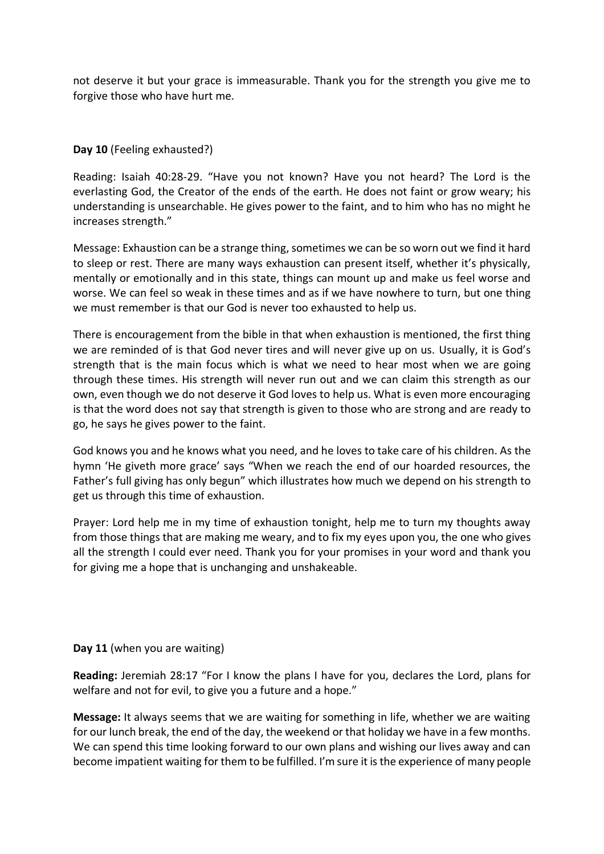not deserve it but your grace is immeasurable. Thank you for the strength you give me to forgive those who have hurt me.

## **Day 10** (Feeling exhausted?)

Reading: Isaiah 40:28-29. "Have you not known? Have you not heard? The Lord is the everlasting God, the Creator of the ends of the earth. He does not faint or grow weary; his understanding is unsearchable. He gives power to the faint, and to him who has no might he increases strength."

Message: Exhaustion can be a strange thing, sometimes we can be so worn out we find it hard to sleep or rest. There are many ways exhaustion can present itself, whether it's physically, mentally or emotionally and in this state, things can mount up and make us feel worse and worse. We can feel so weak in these times and as if we have nowhere to turn, but one thing we must remember is that our God is never too exhausted to help us.

There is encouragement from the bible in that when exhaustion is mentioned, the first thing we are reminded of is that God never tires and will never give up on us. Usually, it is God's strength that is the main focus which is what we need to hear most when we are going through these times. His strength will never run out and we can claim this strength as our own, even though we do not deserve it God loves to help us. What is even more encouraging is that the word does not say that strength is given to those who are strong and are ready to go, he says he gives power to the faint.

God knows you and he knows what you need, and he loves to take care of his children. As the hymn 'He giveth more grace' says "When we reach the end of our hoarded resources, the Father's full giving has only begun" which illustrates how much we depend on his strength to get us through this time of exhaustion.

Prayer: Lord help me in my time of exhaustion tonight, help me to turn my thoughts away from those things that are making me weary, and to fix my eyes upon you, the one who gives all the strength I could ever need. Thank you for your promises in your word and thank you for giving me a hope that is unchanging and unshakeable.

#### **Day 11** (when you are waiting)

**Reading:** Jeremiah 28:17 "For I know the plans I have for you, declares the Lord, plans for welfare and not for evil, to give you a future and a hope."

**Message:** It always seems that we are waiting for something in life, whether we are waiting for our lunch break, the end of the day, the weekend or that holiday we have in a few months. We can spend this time looking forward to our own plans and wishing our lives away and can become impatient waiting for them to be fulfilled. I'm sure it is the experience of many people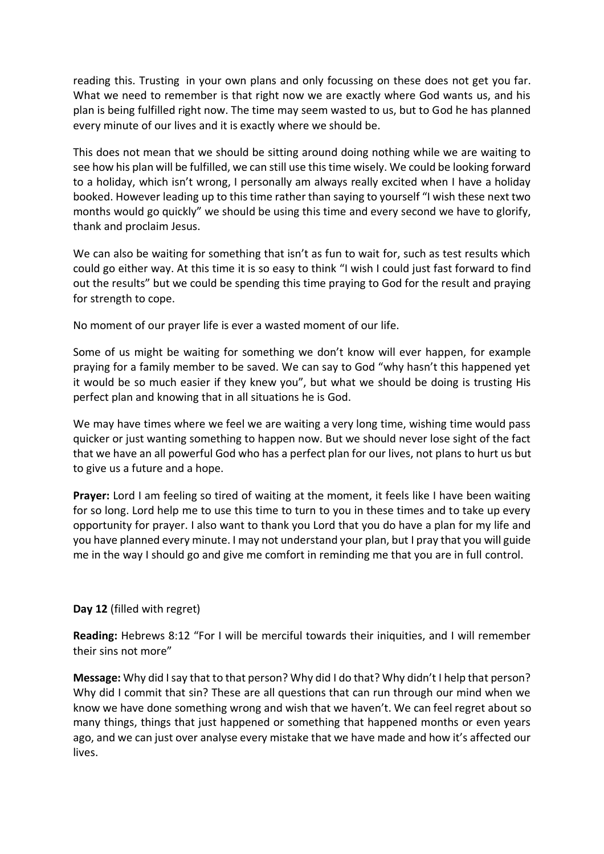reading this. Trusting in your own plans and only focussing on these does not get you far. What we need to remember is that right now we are exactly where God wants us, and his plan is being fulfilled right now. The time may seem wasted to us, but to God he has planned every minute of our lives and it is exactly where we should be.

This does not mean that we should be sitting around doing nothing while we are waiting to see how his plan will be fulfilled, we can still use this time wisely. We could be looking forward to a holiday, which isn't wrong, I personally am always really excited when I have a holiday booked. However leading up to this time rather than saying to yourself "I wish these next two months would go quickly" we should be using this time and every second we have to glorify, thank and proclaim Jesus.

We can also be waiting for something that isn't as fun to wait for, such as test results which could go either way. At this time it is so easy to think "I wish I could just fast forward to find out the results" but we could be spending this time praying to God for the result and praying for strength to cope.

No moment of our prayer life is ever a wasted moment of our life.

Some of us might be waiting for something we don't know will ever happen, for example praying for a family member to be saved. We can say to God "why hasn't this happened yet it would be so much easier if they knew you", but what we should be doing is trusting His perfect plan and knowing that in all situations he is God.

We may have times where we feel we are waiting a very long time, wishing time would pass quicker or just wanting something to happen now. But we should never lose sight of the fact that we have an all powerful God who has a perfect plan for our lives, not plans to hurt us but to give us a future and a hope.

**Prayer:** Lord I am feeling so tired of waiting at the moment, it feels like I have been waiting for so long. Lord help me to use this time to turn to you in these times and to take up every opportunity for prayer. I also want to thank you Lord that you do have a plan for my life and you have planned every minute. I may not understand your plan, but I pray that you will guide me in the way I should go and give me comfort in reminding me that you are in full control.

#### **Day 12** (filled with regret)

**Reading:** Hebrews 8:12 "For I will be merciful towards their iniquities, and I will remember their sins not more"

**Message:** Why did I say that to that person? Why did I do that? Why didn't I help that person? Why did I commit that sin? These are all questions that can run through our mind when we know we have done something wrong and wish that we haven't. We can feel regret about so many things, things that just happened or something that happened months or even years ago, and we can just over analyse every mistake that we have made and how it's affected our lives.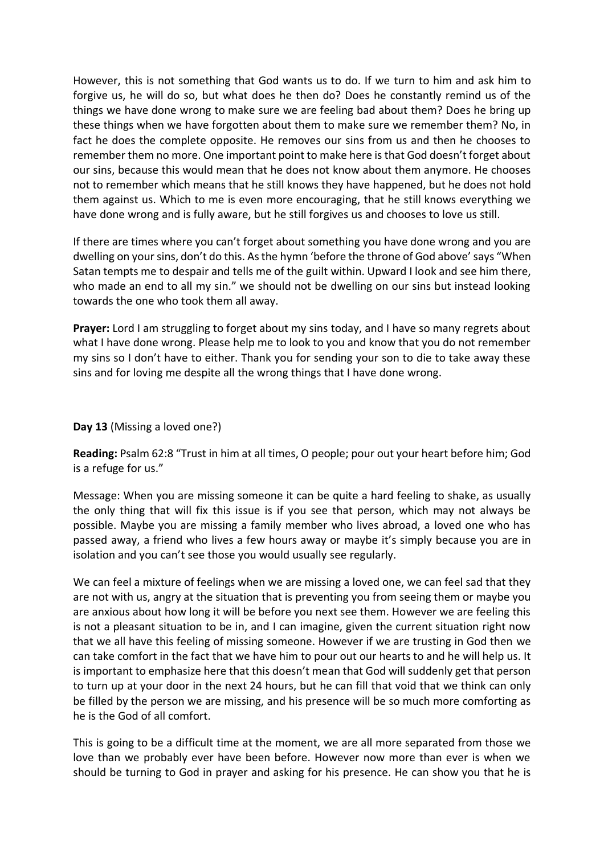However, this is not something that God wants us to do. If we turn to him and ask him to forgive us, he will do so, but what does he then do? Does he constantly remind us of the things we have done wrong to make sure we are feeling bad about them? Does he bring up these things when we have forgotten about them to make sure we remember them? No, in fact he does the complete opposite. He removes our sins from us and then he chooses to remember them no more. One important point to make here is that God doesn't forget about our sins, because this would mean that he does not know about them anymore. He chooses not to remember which means that he still knows they have happened, but he does not hold them against us. Which to me is even more encouraging, that he still knows everything we have done wrong and is fully aware, but he still forgives us and chooses to love us still.

If there are times where you can't forget about something you have done wrong and you are dwelling on your sins, don't do this. As the hymn 'before the throne of God above' says "When Satan tempts me to despair and tells me of the guilt within. Upward I look and see him there, who made an end to all my sin." we should not be dwelling on our sins but instead looking towards the one who took them all away.

**Prayer:** Lord I am struggling to forget about my sins today, and I have so many regrets about what I have done wrong. Please help me to look to you and know that you do not remember my sins so I don't have to either. Thank you for sending your son to die to take away these sins and for loving me despite all the wrong things that I have done wrong.

#### **Day 13** (Missing a loved one?)

**Reading:** Psalm 62:8 "Trust in him at all times, O people; pour out your heart before him; God is a refuge for us."

Message: When you are missing someone it can be quite a hard feeling to shake, as usually the only thing that will fix this issue is if you see that person, which may not always be possible. Maybe you are missing a family member who lives abroad, a loved one who has passed away, a friend who lives a few hours away or maybe it's simply because you are in isolation and you can't see those you would usually see regularly.

We can feel a mixture of feelings when we are missing a loved one, we can feel sad that they are not with us, angry at the situation that is preventing you from seeing them or maybe you are anxious about how long it will be before you next see them. However we are feeling this is not a pleasant situation to be in, and I can imagine, given the current situation right now that we all have this feeling of missing someone. However if we are trusting in God then we can take comfort in the fact that we have him to pour out our hearts to and he will help us. It is important to emphasize here that this doesn't mean that God will suddenly get that person to turn up at your door in the next 24 hours, but he can fill that void that we think can only be filled by the person we are missing, and his presence will be so much more comforting as he is the God of all comfort.

This is going to be a difficult time at the moment, we are all more separated from those we love than we probably ever have been before. However now more than ever is when we should be turning to God in prayer and asking for his presence. He can show you that he is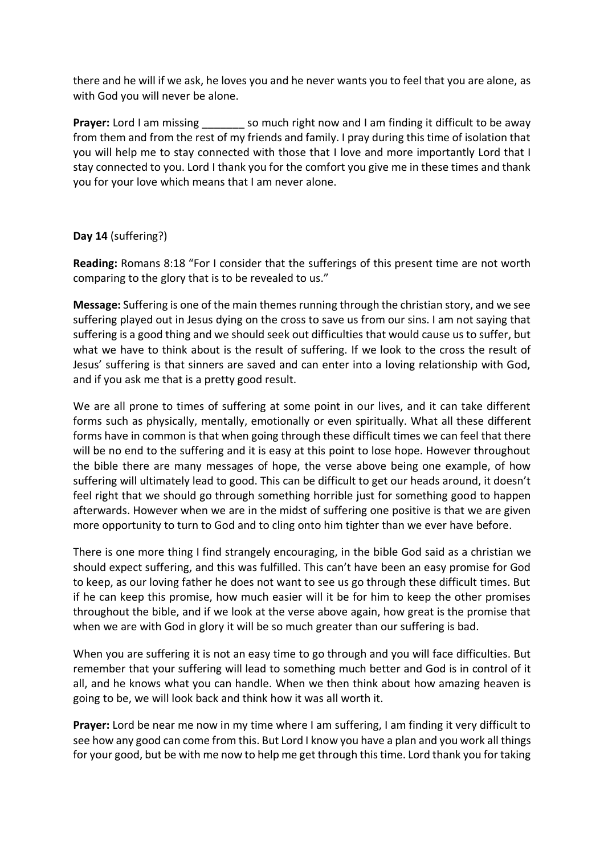there and he will if we ask, he loves you and he never wants you to feel that you are alone, as with God you will never be alone.

**Prayer:** Lord I am missing so much right now and I am finding it difficult to be away from them and from the rest of my friends and family. I pray during this time of isolation that you will help me to stay connected with those that I love and more importantly Lord that I stay connected to you. Lord I thank you for the comfort you give me in these times and thank you for your love which means that I am never alone.

# **Day 14** (suffering?)

**Reading:** Romans 8:18 "For I consider that the sufferings of this present time are not worth comparing to the glory that is to be revealed to us."

**Message:** Suffering is one of the main themes running through the christian story, and we see suffering played out in Jesus dying on the cross to save us from our sins. I am not saying that suffering is a good thing and we should seek out difficulties that would cause us to suffer, but what we have to think about is the result of suffering. If we look to the cross the result of Jesus' suffering is that sinners are saved and can enter into a loving relationship with God, and if you ask me that is a pretty good result.

We are all prone to times of suffering at some point in our lives, and it can take different forms such as physically, mentally, emotionally or even spiritually. What all these different forms have in common is that when going through these difficult times we can feel that there will be no end to the suffering and it is easy at this point to lose hope. However throughout the bible there are many messages of hope, the verse above being one example, of how suffering will ultimately lead to good. This can be difficult to get our heads around, it doesn't feel right that we should go through something horrible just for something good to happen afterwards. However when we are in the midst of suffering one positive is that we are given more opportunity to turn to God and to cling onto him tighter than we ever have before.

There is one more thing I find strangely encouraging, in the bible God said as a christian we should expect suffering, and this was fulfilled. This can't have been an easy promise for God to keep, as our loving father he does not want to see us go through these difficult times. But if he can keep this promise, how much easier will it be for him to keep the other promises throughout the bible, and if we look at the verse above again, how great is the promise that when we are with God in glory it will be so much greater than our suffering is bad.

When you are suffering it is not an easy time to go through and you will face difficulties. But remember that your suffering will lead to something much better and God is in control of it all, and he knows what you can handle. When we then think about how amazing heaven is going to be, we will look back and think how it was all worth it.

**Prayer:** Lord be near me now in my time where I am suffering, I am finding it very difficult to see how any good can come from this. But Lord I know you have a plan and you work all things for your good, but be with me now to help me get through this time. Lord thank you for taking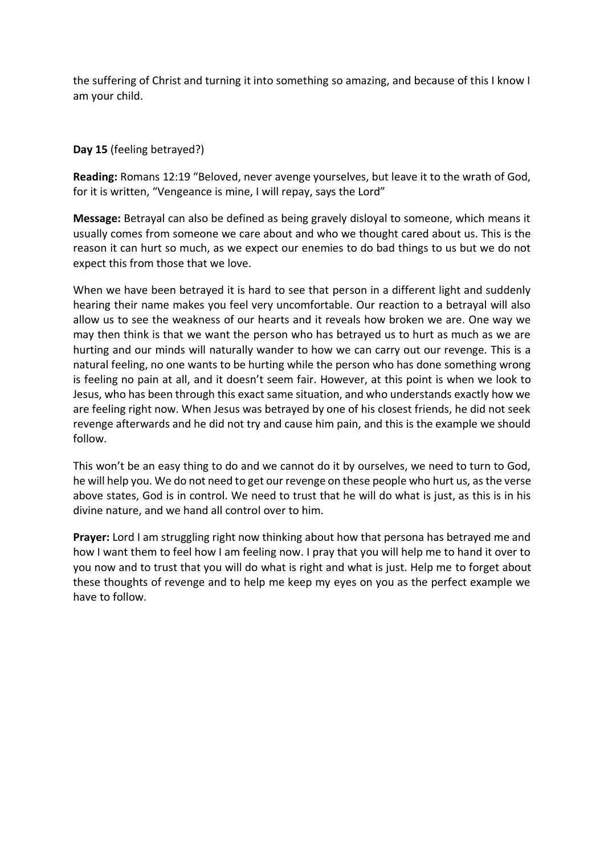the suffering of Christ and turning it into something so amazing, and because of this I know I am your child.

## **Day 15** (feeling betrayed?)

**Reading:** Romans 12:19 "Beloved, never avenge yourselves, but leave it to the wrath of God, for it is written, "Vengeance is mine, I will repay, says the Lord"

**Message:** Betrayal can also be defined as being gravely disloyal to someone, which means it usually comes from someone we care about and who we thought cared about us. This is the reason it can hurt so much, as we expect our enemies to do bad things to us but we do not expect this from those that we love.

When we have been betrayed it is hard to see that person in a different light and suddenly hearing their name makes you feel very uncomfortable. Our reaction to a betrayal will also allow us to see the weakness of our hearts and it reveals how broken we are. One way we may then think is that we want the person who has betrayed us to hurt as much as we are hurting and our minds will naturally wander to how we can carry out our revenge. This is a natural feeling, no one wants to be hurting while the person who has done something wrong is feeling no pain at all, and it doesn't seem fair. However, at this point is when we look to Jesus, who has been through this exact same situation, and who understands exactly how we are feeling right now. When Jesus was betrayed by one of his closest friends, he did not seek revenge afterwards and he did not try and cause him pain, and this is the example we should follow.

This won't be an easy thing to do and we cannot do it by ourselves, we need to turn to God, he will help you. We do not need to get our revenge on these people who hurt us, as the verse above states, God is in control. We need to trust that he will do what is just, as this is in his divine nature, and we hand all control over to him.

**Prayer:** Lord I am struggling right now thinking about how that persona has betrayed me and how I want them to feel how I am feeling now. I pray that you will help me to hand it over to you now and to trust that you will do what is right and what is just. Help me to forget about these thoughts of revenge and to help me keep my eyes on you as the perfect example we have to follow.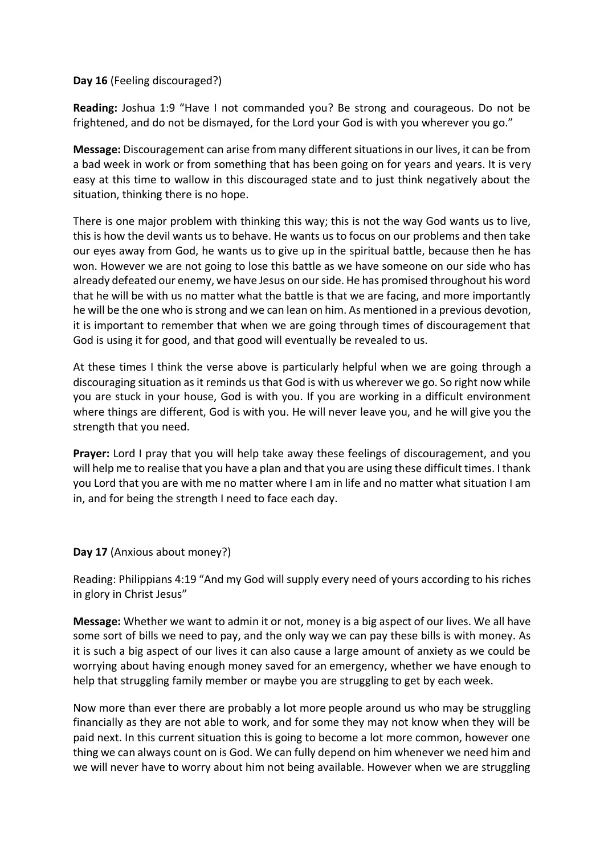### **Day 16** (Feeling discouraged?)

**Reading:** Joshua 1:9 "Have I not commanded you? Be strong and courageous. Do not be frightened, and do not be dismayed, for the Lord your God is with you wherever you go."

**Message:** Discouragement can arise from many different situations in our lives, it can be from a bad week in work or from something that has been going on for years and years. It is very easy at this time to wallow in this discouraged state and to just think negatively about the situation, thinking there is no hope.

There is one major problem with thinking this way; this is not the way God wants us to live, this is how the devil wants us to behave. He wants us to focus on our problems and then take our eyes away from God, he wants us to give up in the spiritual battle, because then he has won. However we are not going to lose this battle as we have someone on our side who has already defeated our enemy, we have Jesus on our side. He has promised throughout his word that he will be with us no matter what the battle is that we are facing, and more importantly he will be the one who is strong and we can lean on him. As mentioned in a previous devotion, it is important to remember that when we are going through times of discouragement that God is using it for good, and that good will eventually be revealed to us.

At these times I think the verse above is particularly helpful when we are going through a discouraging situation as it reminds us that God is with us wherever we go. So right now while you are stuck in your house, God is with you. If you are working in a difficult environment where things are different, God is with you. He will never leave you, and he will give you the strength that you need.

**Prayer:** Lord I pray that you will help take away these feelings of discouragement, and you will help me to realise that you have a plan and that you are using these difficult times. I thank you Lord that you are with me no matter where I am in life and no matter what situation I am in, and for being the strength I need to face each day.

**Day 17** (Anxious about money?)

Reading: Philippians 4:19 "And my God will supply every need of yours according to his riches in glory in Christ Jesus"

**Message:** Whether we want to admin it or not, money is a big aspect of our lives. We all have some sort of bills we need to pay, and the only way we can pay these bills is with money. As it is such a big aspect of our lives it can also cause a large amount of anxiety as we could be worrying about having enough money saved for an emergency, whether we have enough to help that struggling family member or maybe you are struggling to get by each week.

Now more than ever there are probably a lot more people around us who may be struggling financially as they are not able to work, and for some they may not know when they will be paid next. In this current situation this is going to become a lot more common, however one thing we can always count on is God. We can fully depend on him whenever we need him and we will never have to worry about him not being available. However when we are struggling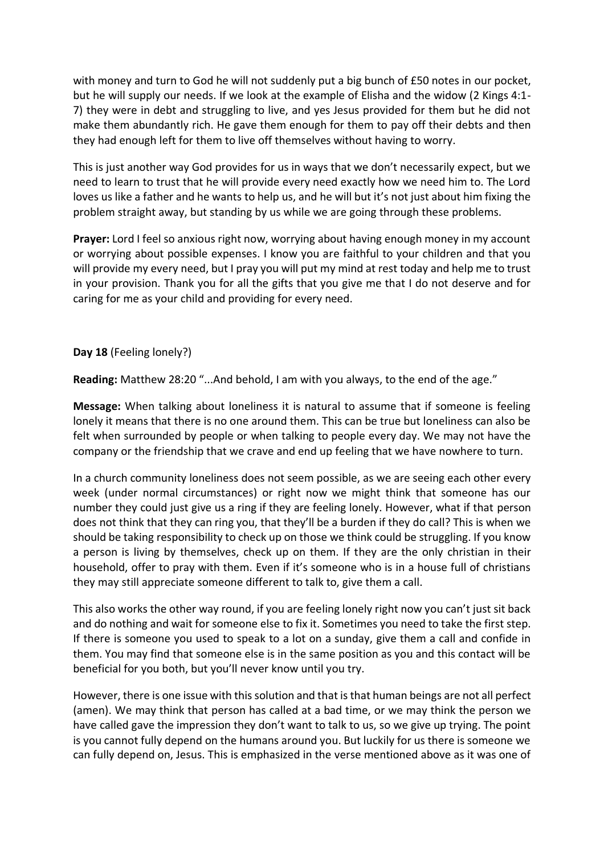with money and turn to God he will not suddenly put a big bunch of £50 notes in our pocket, but he will supply our needs. If we look at the example of Elisha and the widow (2 Kings 4:1- 7) they were in debt and struggling to live, and yes Jesus provided for them but he did not make them abundantly rich. He gave them enough for them to pay off their debts and then they had enough left for them to live off themselves without having to worry.

This is just another way God provides for us in ways that we don't necessarily expect, but we need to learn to trust that he will provide every need exactly how we need him to. The Lord loves us like a father and he wants to help us, and he will but it's not just about him fixing the problem straight away, but standing by us while we are going through these problems.

**Prayer:** Lord I feel so anxious right now, worrying about having enough money in my account or worrying about possible expenses. I know you are faithful to your children and that you will provide my every need, but I pray you will put my mind at rest today and help me to trust in your provision. Thank you for all the gifts that you give me that I do not deserve and for caring for me as your child and providing for every need.

## **Day 18** (Feeling lonely?)

**Reading:** Matthew 28:20 "...And behold, I am with you always, to the end of the age."

**Message:** When talking about loneliness it is natural to assume that if someone is feeling lonely it means that there is no one around them. This can be true but loneliness can also be felt when surrounded by people or when talking to people every day. We may not have the company or the friendship that we crave and end up feeling that we have nowhere to turn.

In a church community loneliness does not seem possible, as we are seeing each other every week (under normal circumstances) or right now we might think that someone has our number they could just give us a ring if they are feeling lonely. However, what if that person does not think that they can ring you, that they'll be a burden if they do call? This is when we should be taking responsibility to check up on those we think could be struggling. If you know a person is living by themselves, check up on them. If they are the only christian in their household, offer to pray with them. Even if it's someone who is in a house full of christians they may still appreciate someone different to talk to, give them a call.

This also works the other way round, if you are feeling lonely right now you can't just sit back and do nothing and wait for someone else to fix it. Sometimes you need to take the first step. If there is someone you used to speak to a lot on a sunday, give them a call and confide in them. You may find that someone else is in the same position as you and this contact will be beneficial for you both, but you'll never know until you try.

However, there is one issue with this solution and that is that human beings are not all perfect (amen). We may think that person has called at a bad time, or we may think the person we have called gave the impression they don't want to talk to us, so we give up trying. The point is you cannot fully depend on the humans around you. But luckily for us there is someone we can fully depend on, Jesus. This is emphasized in the verse mentioned above as it was one of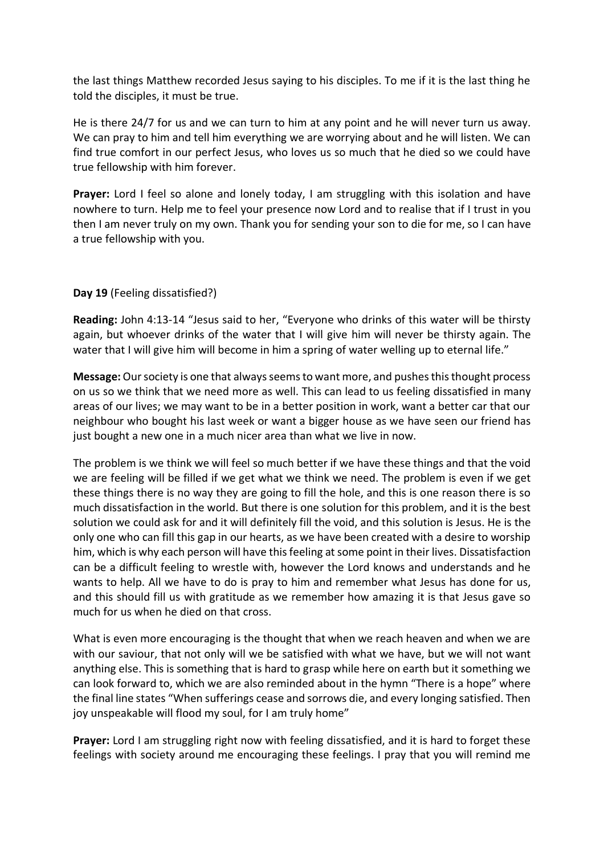the last things Matthew recorded Jesus saying to his disciples. To me if it is the last thing he told the disciples, it must be true.

He is there 24/7 for us and we can turn to him at any point and he will never turn us away. We can pray to him and tell him everything we are worrying about and he will listen. We can find true comfort in our perfect Jesus, who loves us so much that he died so we could have true fellowship with him forever.

Prayer: Lord I feel so alone and lonely today, I am struggling with this isolation and have nowhere to turn. Help me to feel your presence now Lord and to realise that if I trust in you then I am never truly on my own. Thank you for sending your son to die for me, so I can have a true fellowship with you.

## **Day 19** (Feeling dissatisfied?)

**Reading:** John 4:13-14 "Jesus said to her, "Everyone who drinks of this water will be thirsty again, but whoever drinks of the water that I will give him will never be thirsty again. The water that I will give him will become in him a spring of water welling up to eternal life."

**Message:**Our society is one that always seems to want more, and pushes this thought process on us so we think that we need more as well. This can lead to us feeling dissatisfied in many areas of our lives; we may want to be in a better position in work, want a better car that our neighbour who bought his last week or want a bigger house as we have seen our friend has just bought a new one in a much nicer area than what we live in now.

The problem is we think we will feel so much better if we have these things and that the void we are feeling will be filled if we get what we think we need. The problem is even if we get these things there is no way they are going to fill the hole, and this is one reason there is so much dissatisfaction in the world. But there is one solution for this problem, and it is the best solution we could ask for and it will definitely fill the void, and this solution is Jesus. He is the only one who can fill this gap in our hearts, as we have been created with a desire to worship him, which is why each person will have this feeling at some point in their lives. Dissatisfaction can be a difficult feeling to wrestle with, however the Lord knows and understands and he wants to help. All we have to do is pray to him and remember what Jesus has done for us, and this should fill us with gratitude as we remember how amazing it is that Jesus gave so much for us when he died on that cross.

What is even more encouraging is the thought that when we reach heaven and when we are with our saviour, that not only will we be satisfied with what we have, but we will not want anything else. This is something that is hard to grasp while here on earth but it something we can look forward to, which we are also reminded about in the hymn "There is a hope" where the final line states "When sufferings cease and sorrows die, and every longing satisfied. Then joy unspeakable will flood my soul, for I am truly home"

**Prayer:** Lord I am struggling right now with feeling dissatisfied, and it is hard to forget these feelings with society around me encouraging these feelings. I pray that you will remind me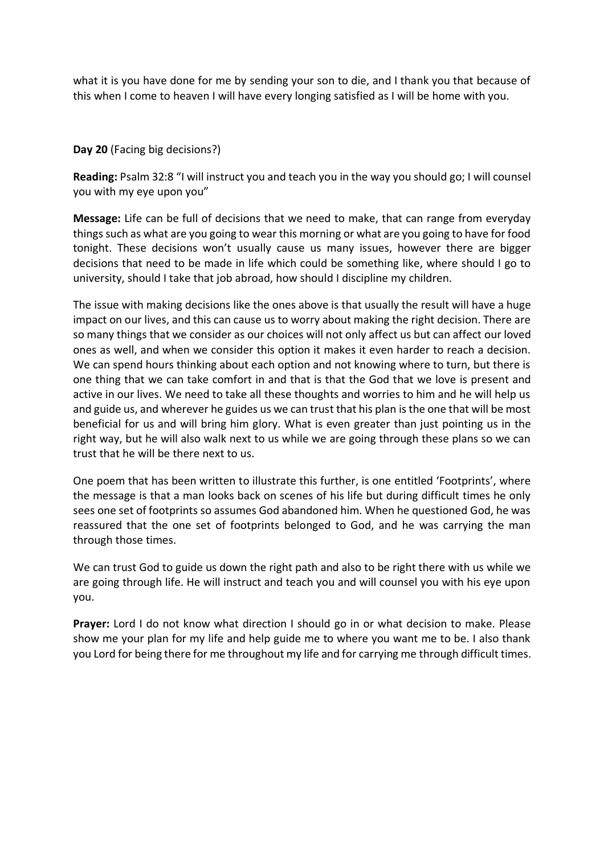what it is you have done for me by sending your son to die, and I thank you that because of this when I come to heaven I will have every longing satisfied as I will be home with you.

## **Day 20** (Facing big decisions?)

**Reading:** Psalm 32:8 "I will instruct you and teach you in the way you should go; I will counsel you with my eye upon you"

**Message:** Life can be full of decisions that we need to make, that can range from everyday things such as what are you going to wear this morning or what are you going to have for food tonight. These decisions won't usually cause us many issues, however there are bigger decisions that need to be made in life which could be something like, where should I go to university, should I take that job abroad, how should I discipline my children.

The issue with making decisions like the ones above is that usually the result will have a huge impact on our lives, and this can cause us to worry about making the right decision. There are so many things that we consider as our choices will not only affect us but can affect our loved ones as well, and when we consider this option it makes it even harder to reach a decision. We can spend hours thinking about each option and not knowing where to turn, but there is one thing that we can take comfort in and that is that the God that we love is present and active in our lives. We need to take all these thoughts and worries to him and he will help us and guide us, and wherever he guides us we can trust that his plan is the one that will be most beneficial for us and will bring him glory. What is even greater than just pointing us in the right way, but he will also walk next to us while we are going through these plans so we can trust that he will be there next to us.

One poem that has been written to illustrate this further, is one entitled 'Footprints', where the message is that a man looks back on scenes of his life but during difficult times he only sees one set of footprints so assumes God abandoned him. When he questioned God, he was reassured that the one set of footprints belonged to God, and he was carrying the man through those times.

We can trust God to guide us down the right path and also to be right there with us while we are going through life. He will instruct and teach you and will counsel you with his eye upon you.

**Prayer:** Lord I do not know what direction I should go in or what decision to make. Please show me your plan for my life and help guide me to where you want me to be. I also thank you Lord for being there for me throughout my life and for carrying me through difficult times.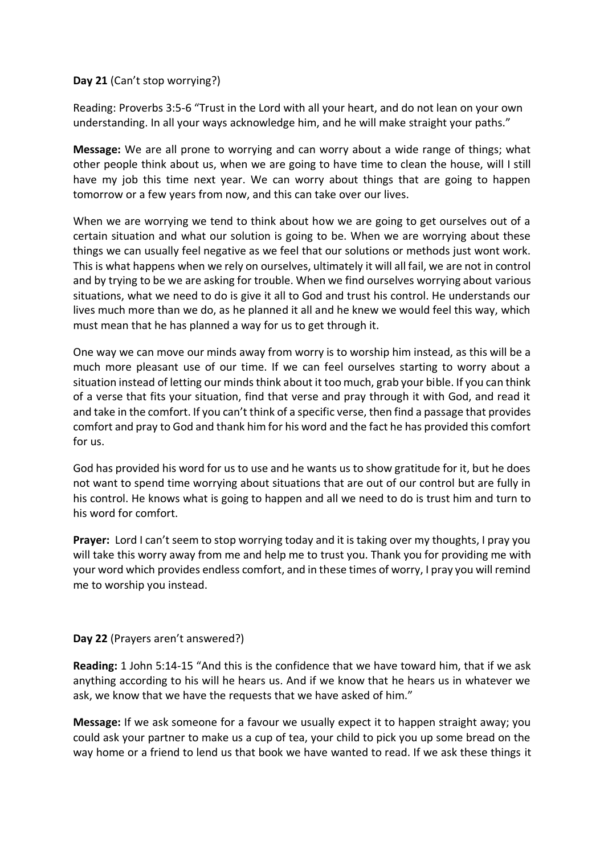## **Day 21** (Can't stop worrying?)

Reading: Proverbs 3:5-6 "Trust in the Lord with all your heart, and do not lean on your own understanding. In all your ways acknowledge him, and he will make straight your paths."

**Message:** We are all prone to worrying and can worry about a wide range of things; what other people think about us, when we are going to have time to clean the house, will I still have my job this time next year. We can worry about things that are going to happen tomorrow or a few years from now, and this can take over our lives.

When we are worrying we tend to think about how we are going to get ourselves out of a certain situation and what our solution is going to be. When we are worrying about these things we can usually feel negative as we feel that our solutions or methods just wont work. This is what happens when we rely on ourselves, ultimately it will all fail, we are not in control and by trying to be we are asking for trouble. When we find ourselves worrying about various situations, what we need to do is give it all to God and trust his control. He understands our lives much more than we do, as he planned it all and he knew we would feel this way, which must mean that he has planned a way for us to get through it.

One way we can move our minds away from worry is to worship him instead, as this will be a much more pleasant use of our time. If we can feel ourselves starting to worry about a situation instead of letting our minds think about it too much, grab your bible. If you can think of a verse that fits your situation, find that verse and pray through it with God, and read it and take in the comfort. If you can't think of a specific verse, then find a passage that provides comfort and pray to God and thank him for his word and the fact he has provided this comfort for us.

God has provided his word for us to use and he wants us to show gratitude for it, but he does not want to spend time worrying about situations that are out of our control but are fully in his control. He knows what is going to happen and all we need to do is trust him and turn to his word for comfort.

**Prayer:** Lord I can't seem to stop worrying today and it is taking over my thoughts, I pray you will take this worry away from me and help me to trust you. Thank you for providing me with your word which provides endless comfort, and in these times of worry, I pray you will remind me to worship you instead.

# **Day 22** (Prayers aren't answered?)

**Reading:** 1 John 5:14-15 "And this is the confidence that we have toward him, that if we ask anything according to his will he hears us. And if we know that he hears us in whatever we ask, we know that we have the requests that we have asked of him."

**Message:** If we ask someone for a favour we usually expect it to happen straight away; you could ask your partner to make us a cup of tea, your child to pick you up some bread on the way home or a friend to lend us that book we have wanted to read. If we ask these things it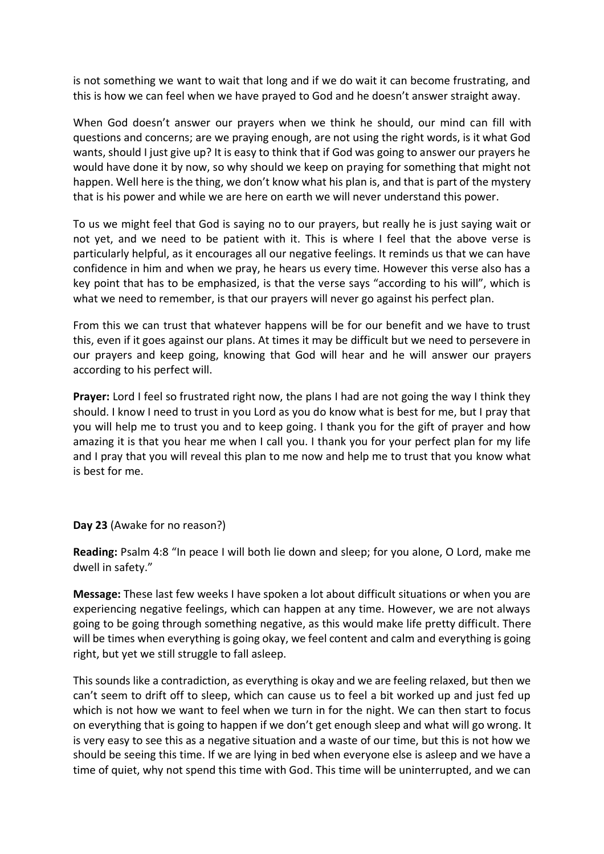is not something we want to wait that long and if we do wait it can become frustrating, and this is how we can feel when we have prayed to God and he doesn't answer straight away.

When God doesn't answer our prayers when we think he should, our mind can fill with questions and concerns; are we praying enough, are not using the right words, is it what God wants, should I just give up? It is easy to think that if God was going to answer our prayers he would have done it by now, so why should we keep on praying for something that might not happen. Well here is the thing, we don't know what his plan is, and that is part of the mystery that is his power and while we are here on earth we will never understand this power.

To us we might feel that God is saying no to our prayers, but really he is just saying wait or not yet, and we need to be patient with it. This is where I feel that the above verse is particularly helpful, as it encourages all our negative feelings. It reminds us that we can have confidence in him and when we pray, he hears us every time. However this verse also has a key point that has to be emphasized, is that the verse says "according to his will", which is what we need to remember, is that our prayers will never go against his perfect plan.

From this we can trust that whatever happens will be for our benefit and we have to trust this, even if it goes against our plans. At times it may be difficult but we need to persevere in our prayers and keep going, knowing that God will hear and he will answer our prayers according to his perfect will.

**Prayer:** Lord I feel so frustrated right now, the plans I had are not going the way I think they should. I know I need to trust in you Lord as you do know what is best for me, but I pray that you will help me to trust you and to keep going. I thank you for the gift of prayer and how amazing it is that you hear me when I call you. I thank you for your perfect plan for my life and I pray that you will reveal this plan to me now and help me to trust that you know what is best for me.

#### **Day 23** (Awake for no reason?)

**Reading:** Psalm 4:8 "In peace I will both lie down and sleep; for you alone, O Lord, make me dwell in safety."

**Message:** These last few weeks I have spoken a lot about difficult situations or when you are experiencing negative feelings, which can happen at any time. However, we are not always going to be going through something negative, as this would make life pretty difficult. There will be times when everything is going okay, we feel content and calm and everything is going right, but yet we still struggle to fall asleep.

This sounds like a contradiction, as everything is okay and we are feeling relaxed, but then we can't seem to drift off to sleep, which can cause us to feel a bit worked up and just fed up which is not how we want to feel when we turn in for the night. We can then start to focus on everything that is going to happen if we don't get enough sleep and what will go wrong. It is very easy to see this as a negative situation and a waste of our time, but this is not how we should be seeing this time. If we are lying in bed when everyone else is asleep and we have a time of quiet, why not spend this time with God. This time will be uninterrupted, and we can